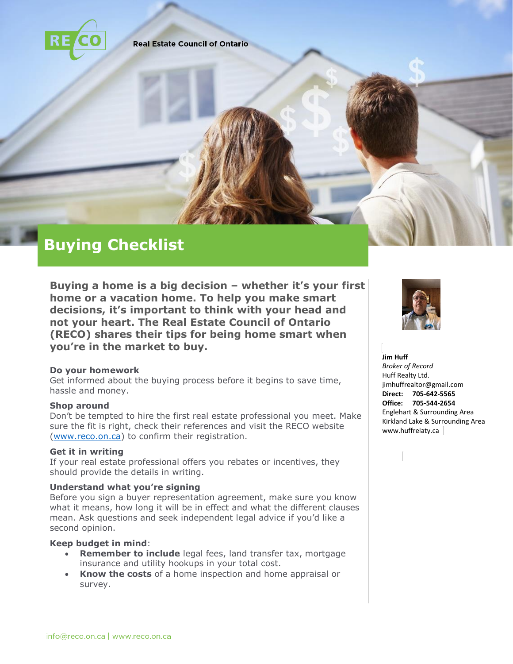

**Real Estate Council of Ontario** 

# **Buying Checklist**

**Buying a home is a big decision – whether it's your first home or a vacation home. To help you make smart decisions, it's important to think with your head and not your heart. The Real Estate Council of Ontario (RECO) shares their tips for being home smart when you're in the market to buy.** 

#### **Do your homework**

Get informed about the buying process before it begins to save time, hassle and money.

#### **Shop around**

Don't be tempted to hire the first real estate professional you meet. Make sure the fit is right, check their references and visit the RECO website [\(www.reco.on.ca\)](http://www.reco.on.ca/) to confirm their registration.

## **Get it in writing**

If your real estate professional offers you rebates or incentives, they should provide the details in writing.

## **Understand what you're signing**

Before you sign a buyer representation agreement, make sure you know what it means, how long it will be in effect and what the different clauses mean. Ask questions and seek independent legal advice if you'd like a second opinion.

#### **Keep budget in mind**:

- **Remember to include** legal fees, land transfer tax, mortgage insurance and utility hookups in your total cost.
- **Know the costs** of a home inspection and home appraisal or survey.



# **Jim Huff**

*Broker of Record* Huff Realty Ltd. jimhuffrealtor@gmail.com **Direct: 705-642-5565 Office: 705-544-2654** Englehart & Surrounding Area Kirkland Lake & Surrounding Area www.huffrelaty.ca